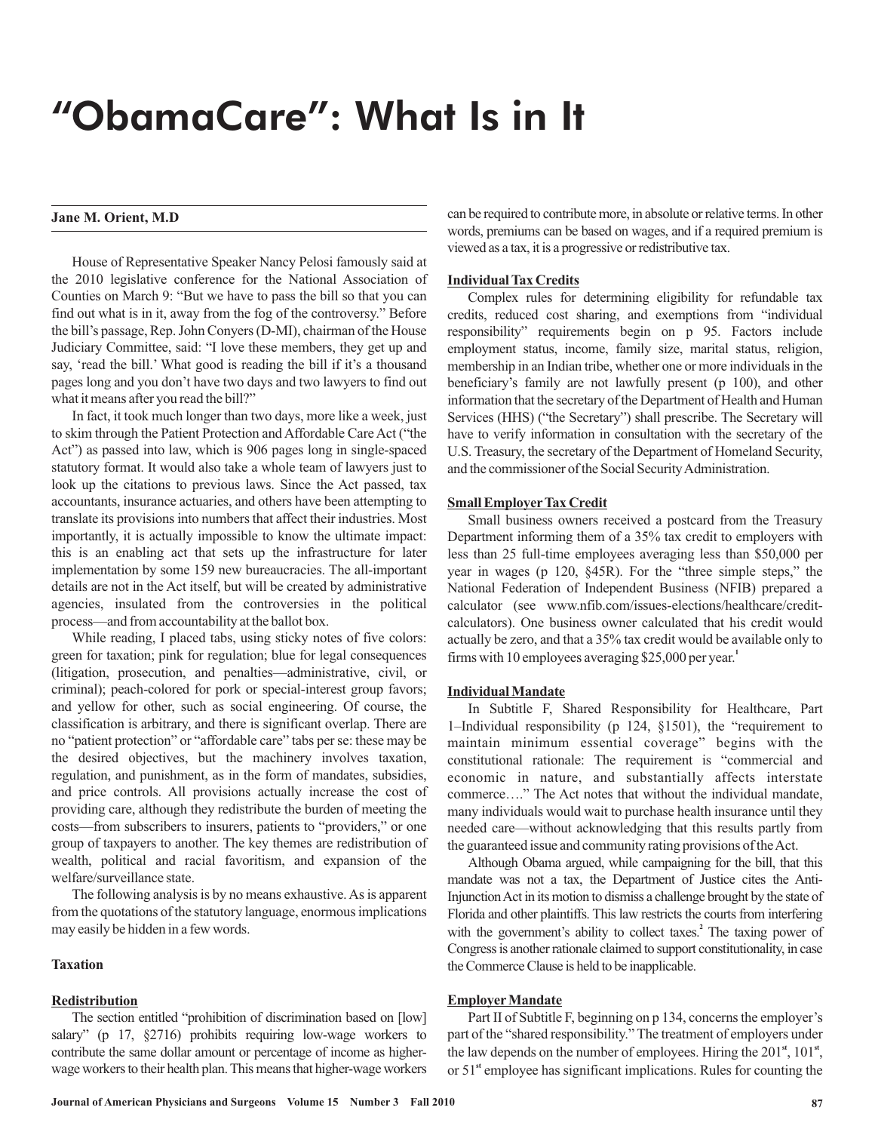# "ObamaCare": What Is in It

## **Jane M. Orient, M.D**

House of Representative Speaker Nancy Pelosi famously said at the 2010 legislative conference for the National Association of Counties on March 9: "But we have to pass the bill so that you can find out what is in it, away from the fog of the controversy." Before the bill's passage, Rep. John Conyers (D-MI), chairman of the House Judiciary Committee, said: "I love these members, they get up and say, 'read the bill.' What good is reading the bill if it's a thousand pages long and you don't have two days and two lawyers to find out what it means after you read the bill?"

In fact, it took much longer than two days, more like a week, just to skim through the Patient Protection and Affordable Care Act ("the Act") as passed into law, which is 906 pages long in single-spaced statutory format. It would also take a whole team of lawyers just to look up the citations to previous laws. Since the Act passed, tax accountants, insurance actuaries, and others have been attempting to translate its provisions into numbers that affect their industries. Most importantly, it is actually impossible to know the ultimate impact: this is an enabling act that sets up the infrastructure for later implementation by some 159 new bureaucracies. The all-important details are not in the Act itself, but will be created by administrative agencies, insulated from the controversies in the political process—and from accountability at the ballot box.

While reading, I placed tabs, using sticky notes of five colors: green for taxation; pink for regulation; blue for legal consequences (litigation, prosecution, and penalties—administrative, civil, or criminal); peach-colored for pork or special-interest group favors; and yellow for other, such as social engineering. Of course, the classification is arbitrary, and there is significant overlap. There are no "patient protection" or "affordable care" tabs per se: these may be the desired objectives, but the machinery involves taxation, regulation, and punishment, as in the form of mandates, subsidies, and price controls. All provisions actually increase the cost of providing care, although they redistribute the burden of meeting the costs—from subscribers to insurers, patients to "providers," or one group of taxpayers to another. The key themes are redistribution of wealth, political and racial favoritism, and expansion of the welfare/surveillance state.

The following analysis is by no means exhaustive.As is apparent from the quotations of the statutory language, enormous implications may easily be hidden in a few words.

#### **Taxation**

#### **Redistribution**

The section entitled "prohibition of discrimination based on [low] salary" (p 17, §2716) prohibits requiring low-wage workers to contribute the same dollar amount or percentage of income as higherwage workers to their health plan. This means that higher-wage workers can be required to contribute more, in absolute or relative terms. In other words, premiums can be based on wages, and if a required premium is viewed as a tax, it is a progressive or redistributive tax.

#### **Individual Tax Credits**

Complex rules for determining eligibility for refundable tax credits, reduced cost sharing, and exemptions from "individual responsibility" requirements begin on p 95. Factors include employment status, income, family size, marital status, religion, membership in an Indian tribe, whether one or more individuals in the beneficiary's family are not lawfully present (p 100), and other information that the secretary of the Department of Health and Human Services (HHS) ("the Secretary") shall prescribe. The Secretary will have to verify information in consultation with the secretary of the U.S. Treasury, the secretary of the Department of Homeland Security, and the commissioner of the Social Security Administration.

# **Small EmployerTax Credit**

Small business owners received a postcard from the Treasury Department informing them of a 35% tax credit to employers with less than 25 full-time employees averaging less than \$50,000 per year in wages (p 120, §45R). For the "three simple steps," the National Federation of Independent Business (NFIB) prepared a calculator (see www.nfib.com/issues-elections/healthcare/creditcalculators). One business owner calculated that his credit would actually be zero, and that a 35% tax credit would be available only to firms with 10 employees averaging \$25,000 per year. **1**

#### **Individual Mandate**

In Subtitle F, Shared Responsibility for Healthcare, Part 1–Individual responsibility (p 124, §1501), the "requirement to maintain minimum essential coverage" begins with the constitutional rationale: The requirement is "commercial and economic in nature, and substantially affects interstate commerce…." The Act notes that without the individual mandate, many individuals would wait to purchase health insurance until they needed care—without acknowledging that this results partly from the guaranteed issue and community rating provisions of theAct.

Although Obama argued, while campaigning for the bill, that this mandate was not a tax, the Department of Justice cites the Anti-InjunctionAct in its motion to dismiss a challenge brought by the state of Florida and other plaintiffs. This law restricts the courts from interfering with the government's ability to collect taxes.<sup>2</sup> The taxing power of Congress is another rationale claimed to support constitutionality, in case the Commerce Clause is held to be inapplicable.

# **Employer Mandate**

Part II of Subtitle F, beginning on p 134, concerns the employer's part of the "shared responsibility." The treatment of employers under the law depends on the number of employees. Hiring the 201<sup>st</sup>, 101<sup>st</sup>, or 51<sup>st</sup> employee has significant implications. Rules for counting the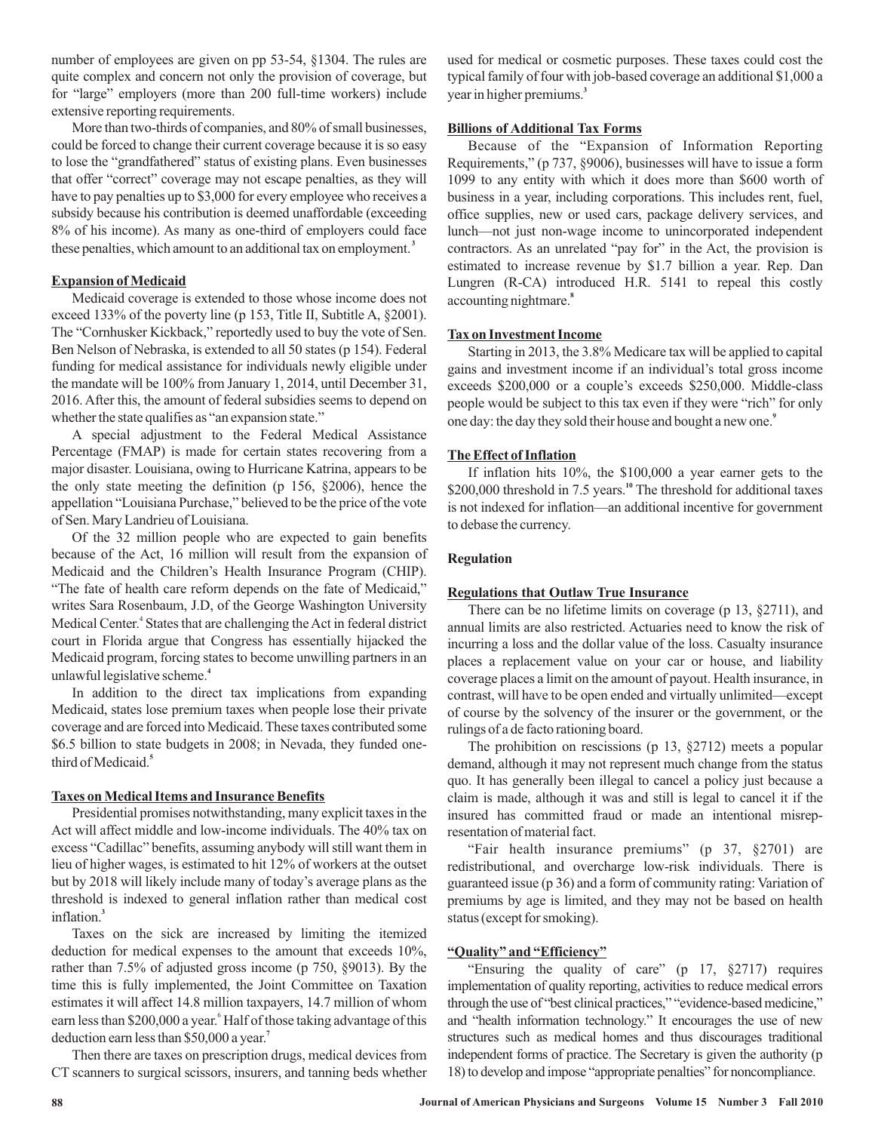number of employees are given on pp 53-54, §1304. The rules are quite complex and concern not only the provision of coverage, but for "large" employers (more than 200 full-time workers) include extensive reporting requirements.

More than two-thirds of companies, and 80% of small businesses, could be forced to change their current coverage because it is so easy to lose the "grandfathered" status of existing plans. Even businesses that offer "correct" coverage may not escape penalties, as they will have to pay penalties up to \$3,000 for every employee who receives a subsidy because his contribution is deemed unaffordable (exceeding 8% of his income). As many as one-third of employers could face these penalties, which amount to an additional tax on employment. **3**

# **Expansion of Medicaid**

Medicaid coverage is extended to those whose income does not exceed 133% of the poverty line (p 153, Title II, Subtitle A, §2001). The "Cornhusker Kickback," reportedly used to buy the vote of Sen. Ben Nelson of Nebraska, is extended to all 50 states (p 154). Federal funding for medical assistance for individuals newly eligible under the mandate will be 100% from January 1, 2014, until December 31, 2016. After this, the amount of federal subsidies seems to depend on whether the state qualifies as "an expansion state."

A special adjustment to the Federal Medical Assistance Percentage (FMAP) is made for certain states recovering from a major disaster. Louisiana, owing to Hurricane Katrina, appears to be the only state meeting the definition (p 156, §2006), hence the appellation "Louisiana Purchase," believed to be the price of the vote of Sen. Mary Landrieu of Louisiana.

Of the 32 million people who are expected to gain benefits because of the Act, 16 million will result from the expansion of Medicaid and the Children's Health Insurance Program (CHIP). "The fate of health care reform depends on the fate of Medicaid," writes Sara Rosenbaum, J.D, of the George Washington University Medical Center.<sup>4</sup> States that are challenging the Act in federal district court in Florida argue that Congress has essentially hijacked the Medicaid program, forcing states to become unwilling partners in an unlawful legislative scheme. **4**

In addition to the direct tax implications from expanding Medicaid, states lose premium taxes when people lose their private coverage and are forced into Medicaid. These taxes contributed some \$6.5 billion to state budgets in 2008; in Nevada, they funded onethird of Medicaid. **5**

## **Taxes on Medical Items and Insurance Benefits**

Presidential promises notwithstanding, many explicit taxes in the Act will affect middle and low-income individuals. The 40% tax on excess "Cadillac" benefits, assuming anybody will still want them in lieu of higher wages, is estimated to hit 12% of workers at the outset but by 2018 will likely include many of today's average plans as the threshold is indexed to general inflation rather than medical cost inflation. **3**

Taxes on the sick are increased by limiting the itemized deduction for medical expenses to the amount that exceeds 10%, rather than 7.5% of adjusted gross income (p 750, §9013). By the time this is fully implemented, the Joint Committee on Taxation estimates it will affect 14.8 million taxpayers, 14.7 million of whom earn less than \$200,000 a year. Half of those taking advantage of this deduction earn less than \$50,000 a year. **7**

Then there are taxes on prescription drugs, medical devices from CT scanners to surgical scissors, insurers, and tanning beds whether

used for medical or cosmetic purposes. These taxes could cost the typical family of four with job-based coverage an additional \$1,000 a year in higher premiums. **3**

# **Billions of Additional Tax Forms**

Because of the "Expansion of Information Reporting Requirements," (p 737, §9006), businesses will have to issue a form 1099 to any entity with which it does more than \$600 worth of business in a year, including corporations. This includes rent, fuel, office supplies, new or used cars, package delivery services, and lunch—not just non-wage income to unincorporated independent contractors. As an unrelated "pay for" in the Act, the provision is estimated to increase revenue by \$1.7 billion a year. Rep. Dan Lungren (R-CA) introduced H.R. 5141 to repeal this costly accounting nightmare. **8**

# **Tax on Investment Income**

Starting in 2013, the 3.8% Medicare tax will be applied to capital gains and investment income if an individual's total gross income exceeds \$200,000 or a couple's exceeds \$250,000. Middle-class people would be subject to this tax even if they were "rich" for only one day: the day they sold their house and bought a new one. **9**

# **The Effect of Inflation**

If inflation hits 10%, the \$100,000 a year earner gets to the \$200,000 threshold in 7.5 years.<sup>10</sup> The threshold for additional taxes is not indexed for inflation—an additional incentive for government to debase the currency.

# **Regulation**

# **Regulations that Outlaw True Insurance**

There can be no lifetime limits on coverage (p 13, §2711), and annual limits are also restricted. Actuaries need to know the risk of incurring a loss and the dollar value of the loss. Casualty insurance places a replacement value on your car or house, and liability coverage places a limit on the amount of payout. Health insurance, in contrast, will have to be open ended and virtually unlimited—except of course by the solvency of the insurer or the government, or the rulings of a de facto rationing board.

The prohibition on rescissions (p 13, §2712) meets a popular demand, although it may not represent much change from the status quo. It has generally been illegal to cancel a policy just because a claim is made, although it was and still is legal to cancel it if the insured has committed fraud or made an intentional misrepresentation of material fact.

"Fair health insurance premiums" (p 37, §2701) are redistributional, and overcharge low-risk individuals. There is guaranteed issue (p 36) and a form of community rating: Variation of premiums by age is limited, and they may not be based on health status (except for smoking).

# **"Quality" and "Efficiency"**

"Ensuring the quality of care" (p 17, §2717) requires implementation of quality reporting, activities to reduce medical errors through the use of "best clinical practices," "evidence-based medicine," and "health information technology." It encourages the use of new structures such as medical homes and thus discourages traditional independent forms of practice. The Secretary is given the authority (p 18) to develop and impose "appropriate penalties" for noncompliance.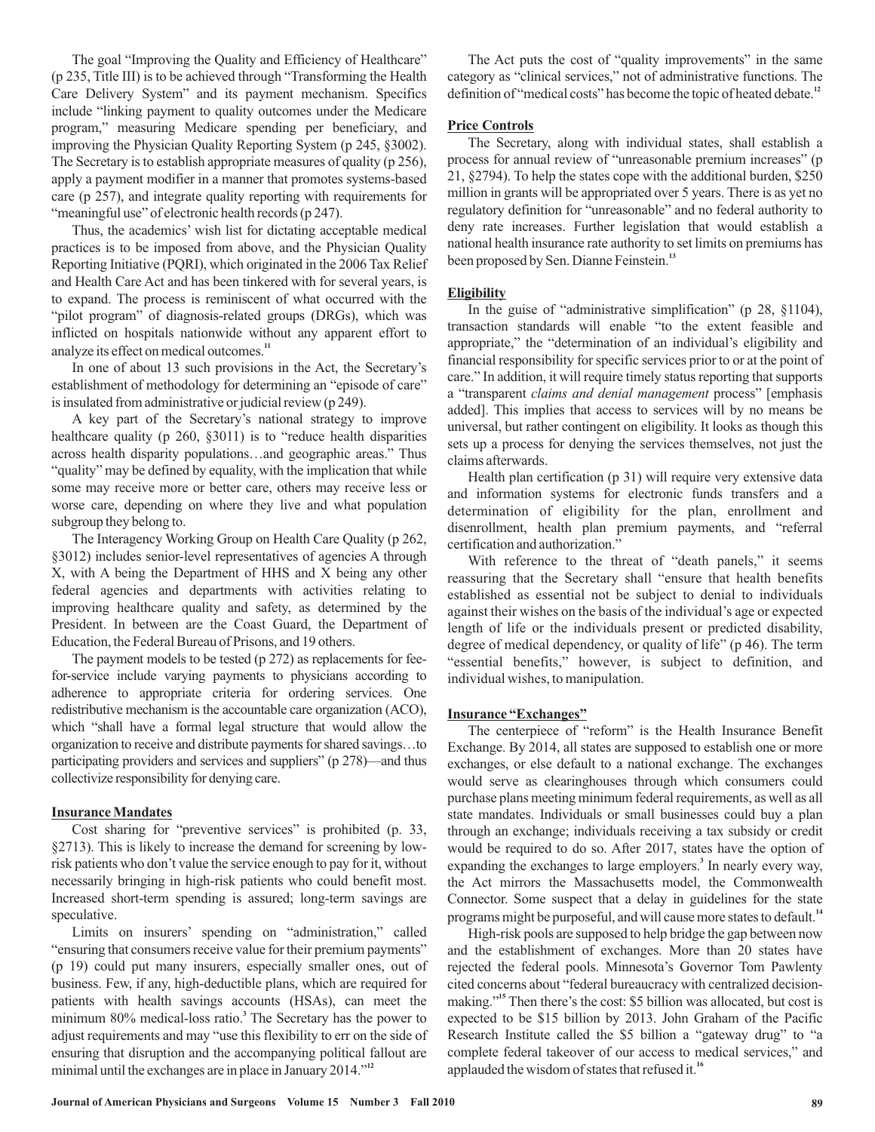The goal "Improving the Quality and Efficiency of Healthcare" (p 235, Title III) is to be achieved through "Transforming the Health Care Delivery System" and its payment mechanism. Specifics include "linking payment to quality outcomes under the Medicare program," measuring Medicare spending per beneficiary, and improving the Physician Quality Reporting System (p 245, §3002). The Secretary is to establish appropriate measures of quality (p 256), apply a payment modifier in a manner that promotes systems-based care (p 257), and integrate quality reporting with requirements for "meaningful use" of electronic health records (p 247).

Thus, the academics' wish list for dictating acceptable medical practices is to be imposed from above, and the Physician Quality Reporting Initiative (PQRI), which originated in the 2006 Tax Relief and Health Care Act and has been tinkered with for several years, is to expand. The process is reminiscent of what occurred with the "pilot program" of diagnosis-related groups (DRGs), which was inflicted on hospitals nationwide without any apparent effort to analyze its effect on medical outcomes.<sup>11</sup>

In one of about 13 such provisions in the Act, the Secretary's establishment of methodology for determining an "episode of care" is insulated from administrative or judicial review (p 249).

A key part of the Secretary's national strategy to improve healthcare quality (p 260, §3011) is to "reduce health disparities across health disparity populations…and geographic areas." Thus "quality" may be defined by equality, with the implication that while some may receive more or better care, others may receive less or worse care, depending on where they live and what population subgroup they belong to.

The Interagency Working Group on Health Care Quality (p 262, §3012) includes senior-level representatives of agencies A through X, with A being the Department of HHS and X being any other federal agencies and departments with activities relating to improving healthcare quality and safety, as determined by the President. In between are the Coast Guard, the Department of Education, the Federal Bureau of Prisons, and 19 others.

The payment models to be tested (p 272) as replacements for feefor-service include varying payments to physicians according to adherence to appropriate criteria for ordering services. One redistributive mechanism is the accountable care organization (ACO), which "shall have a formal legal structure that would allow the organization to receive and distribute payments for shared savings…to participating providers and services and suppliers" (p 278)—and thus collectivize responsibility for denying care.

# **Insurance Mandates**

Cost sharing for "preventive services" is prohibited (p. 33, §2713). This is likely to increase the demand for screening by lowrisk patients who don't value the service enough to pay for it, without necessarily bringing in high-risk patients who could benefit most. Increased short-term spending is assured; long-term savings are speculative.

Limits on insurers' spending on "administration," called "ensuring that consumers receive value for their premium payments" (p 19) could put many insurers, especially smaller ones, out of business. Few, if any, high-deductible plans, which are required for patients with health savings accounts (HSAs), can meet the minimum 80% medical-loss ratio.<sup>3</sup> The Secretary has the power to adjust requirements and may "use this flexibility to err on the side of ensuring that disruption and the accompanying political fallout are minimal until the exchanges are in place in January 2014." **12**

The Act puts the cost of "quality improvements" in the same category as "clinical services," not of administrative functions. The definition of "medical costs" has become the topic of heated debate. **12**

## **Price Controls**

The Secretary, along with individual states, shall establish a process for annual review of "unreasonable premium increases" (p 21, §2794). To help the states cope with the additional burden, \$250 million in grants will be appropriated over 5 years. There is as yet no regulatory definition for "unreasonable" and no federal authority to deny rate increases. Further legislation that would establish a national health insurance rate authority to set limits on premiums has been proposed by Sen. Dianne Feinstein. **13**

#### **Eligibility**

In the guise of "administrative simplification" (p 28, §1104), transaction standards will enable "to the extent feasible and appropriate," the "determination of an individual's eligibility and financial responsibility for specific services prior to or at the point of care." In addition, it will require timely status reporting that supports a "transparent claims and denial management process" [emphasis added]. This implies that access to services will by no means be universal, but rather contingent on eligibility. It looks as though this sets up a process for denying the services themselves, not just the claims afterwards.

Health plan certification (p 31) will require very extensive data and information systems for electronic funds transfers and a determination of eligibility for the plan, enrollment and disenrollment, health plan premium payments, and "referral certification and authorization."

With reference to the threat of "death panels," it seems reassuring that the Secretary shall "ensure that health benefits established as essential not be subject to denial to individuals against their wishes on the basis of the individual's age or expected length of life or the individuals present or predicted disability, degree of medical dependency, or quality of life" (p 46). The term "essential benefits," however, is subject to definition, and individual wishes, to manipulation.

#### **Insurance "Exchanges"**

The centerpiece of "reform" is the Health Insurance Benefit Exchange. By 2014, all states are supposed to establish one or more exchanges, or else default to a national exchange. The exchanges would serve as clearinghouses through which consumers could purchase plans meeting minimum federal requirements, as well as all state mandates. Individuals or small businesses could buy a plan through an exchange; individuals receiving a tax subsidy or credit would be required to do so. After 2017, states have the option of expanding the exchanges to large employers.<sup>3</sup> In nearly every way, the Act mirrors the Massachusetts model, the Commonwealth Connector. Some suspect that a delay in guidelines for the state programs might be purposeful, and will cause more states to default. **14**

High-risk pools are supposed to help bridge the gap between now and the establishment of exchanges. More than 20 states have rejected the federal pools. Minnesota's Governor Tom Pawlenty cited concerns about "federal bureaucracy with centralized decisionmaking."<sup>15</sup> Then there's the cost: \$5 billion was allocated, but cost is expected to be \$15 billion by 2013. John Graham of the Pacific Research Institute called the \$5 billion a "gateway drug" to "a complete federal takeover of our access to medical services," and applauded the wisdom of states that refused it. **16**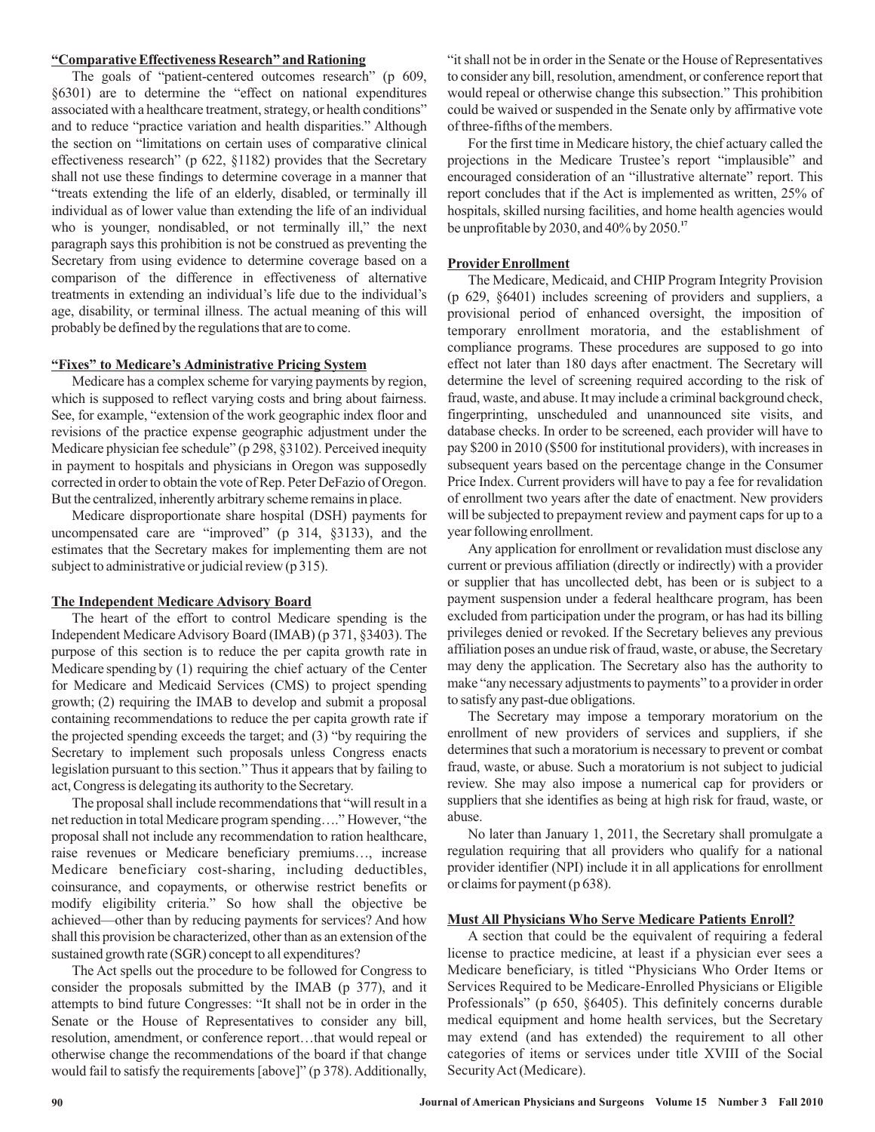## **"Comparative Effectiveness Research" and Rationing**

The goals of "patient-centered outcomes research" (p 609, §6301) are to determine the "effect on national expenditures associated with a healthcare treatment, strategy, or health conditions" and to reduce "practice variation and health disparities." Although the section on "limitations on certain uses of comparative clinical effectiveness research" (p 622, §1182) provides that the Secretary shall not use these findings to determine coverage in a manner that "treats extending the life of an elderly, disabled, or terminally ill individual as of lower value than extending the life of an individual who is younger, nondisabled, or not terminally ill," the next paragraph says this prohibition is not be construed as preventing the Secretary from using evidence to determine coverage based on a comparison of the difference in effectiveness of alternative treatments in extending an individual's life due to the individual's age, disability, or terminal illness. The actual meaning of this will probably be defined by the regulations that are to come.

### **"Fixes" to Medicare's Administrative Pricing System**

Medicare has a complex scheme for varying payments by region, which is supposed to reflect varying costs and bring about fairness. See, for example, "extension of the work geographic index floor and revisions of the practice expense geographic adjustment under the Medicare physician fee schedule" (p 298, §3102). Perceived inequity in payment to hospitals and physicians in Oregon was supposedly corrected in order to obtain the vote of Rep. Peter DeFazio of Oregon. But the centralized, inherently arbitrary scheme remains in place.

Medicare disproportionate share hospital (DSH) payments for uncompensated care are "improved" (p 314, §3133), and the estimates that the Secretary makes for implementing them are not subject to administrative or judicial review (p 315).

#### **The Independent Medicare Advisory Board**

The heart of the effort to control Medicare spending is the Independent Medicare Advisory Board (IMAB) (p 371, §3403). The purpose of this section is to reduce the per capita growth rate in Medicare spending by (1) requiring the chief actuary of the Center for Medicare and Medicaid Services (CMS) to project spending growth; (2) requiring the IMAB to develop and submit a proposal containing recommendations to reduce the per capita growth rate if the projected spending exceeds the target; and (3) "by requiring the Secretary to implement such proposals unless Congress enacts legislation pursuant to this section." Thus it appears that by failing to act, Congress is delegating its authority to the Secretary.

The proposal shall include recommendations that "will result in a net reduction in total Medicare program spending…." However, "the proposal shall not include any recommendation to ration healthcare, raise revenues or Medicare beneficiary premiums…, increase Medicare beneficiary cost-sharing, including deductibles, coinsurance, and copayments, or otherwise restrict benefits or modify eligibility criteria." So how shall the objective be achieved—other than by reducing payments for services? And how shall this provision be characterized, other than as an extension of the sustained growth rate (SGR) concept to all expenditures?

The Act spells out the procedure to be followed for Congress to consider the proposals submitted by the IMAB (p 377), and it attempts to bind future Congresses: "It shall not be in order in the Senate or the House of Representatives to consider any bill, resolution, amendment, or conference report…that would repeal or otherwise change the recommendations of the board if that change would fail to satisfy the requirements [above]" (p 378). Additionally,

"it shall not be in order in the Senate or the House of Representatives to consider any bill, resolution, amendment, or conference report that would repeal or otherwise change this subsection." This prohibition could be waived or suspended in the Senate only by affirmative vote of three-fifths of the members.

For the first time in Medicare history, the chief actuary called the projections in the Medicare Trustee's report "implausible" and encouraged consideration of an "illustrative alternate" report. This report concludes that if the Act is implemented as written, 25% of hospitals, skilled nursing facilities, and home health agencies would be unprofitable by 2030, and 40% by 2050. **17**

## **Provider Enrollment**

The Medicare, Medicaid, and CHIP Program Integrity Provision (p 629, §6401) includes screening of providers and suppliers, a provisional period of enhanced oversight, the imposition of temporary enrollment moratoria, and the establishment of compliance programs. These procedures are supposed to go into effect not later than 180 days after enactment. The Secretary will determine the level of screening required according to the risk of fraud, waste, and abuse. It may include a criminal background check, fingerprinting, unscheduled and unannounced site visits, and database checks. In order to be screened, each provider will have to pay \$200 in 2010 (\$500 for institutional providers), with increases in subsequent years based on the percentage change in the Consumer Price Index. Current providers will have to pay a fee for revalidation of enrollment two years after the date of enactment. New providers will be subjected to prepayment review and payment caps for up to a year following enrollment.

Any application for enrollment or revalidation must disclose any current or previous affiliation (directly or indirectly) with a provider or supplier that has uncollected debt, has been or is subject to a payment suspension under a federal healthcare program, has been excluded from participation under the program, or has had its billing privileges denied or revoked. If the Secretary believes any previous affiliation poses an undue risk of fraud, waste, or abuse, the Secretary may deny the application. The Secretary also has the authority to make "any necessary adjustments to payments" to a provider in order to satisfy any past-due obligations.

The Secretary may impose a temporary moratorium on the enrollment of new providers of services and suppliers, if she determines that such a moratorium is necessary to prevent or combat fraud, waste, or abuse. Such a moratorium is not subject to judicial review. She may also impose a numerical cap for providers or suppliers that she identifies as being at high risk for fraud, waste, or abuse.

No later than January 1, 2011, the Secretary shall promulgate a regulation requiring that all providers who qualify for a national provider identifier (NPI) include it in all applications for enrollment or claims for payment (p 638).

#### **Must All Physicians Who Serve Medicare Patients Enroll?**

A section that could be the equivalent of requiring a federal license to practice medicine, at least if a physician ever sees a Medicare beneficiary, is titled "Physicians Who Order Items or Services Required to be Medicare-Enrolled Physicians or Eligible Professionals" (p 650, §6405). This definitely concerns durable medical equipment and home health services, but the Secretary may extend (and has extended) the requirement to all other categories of items or services under title XVIII of the Social SecurityAct (Medicare).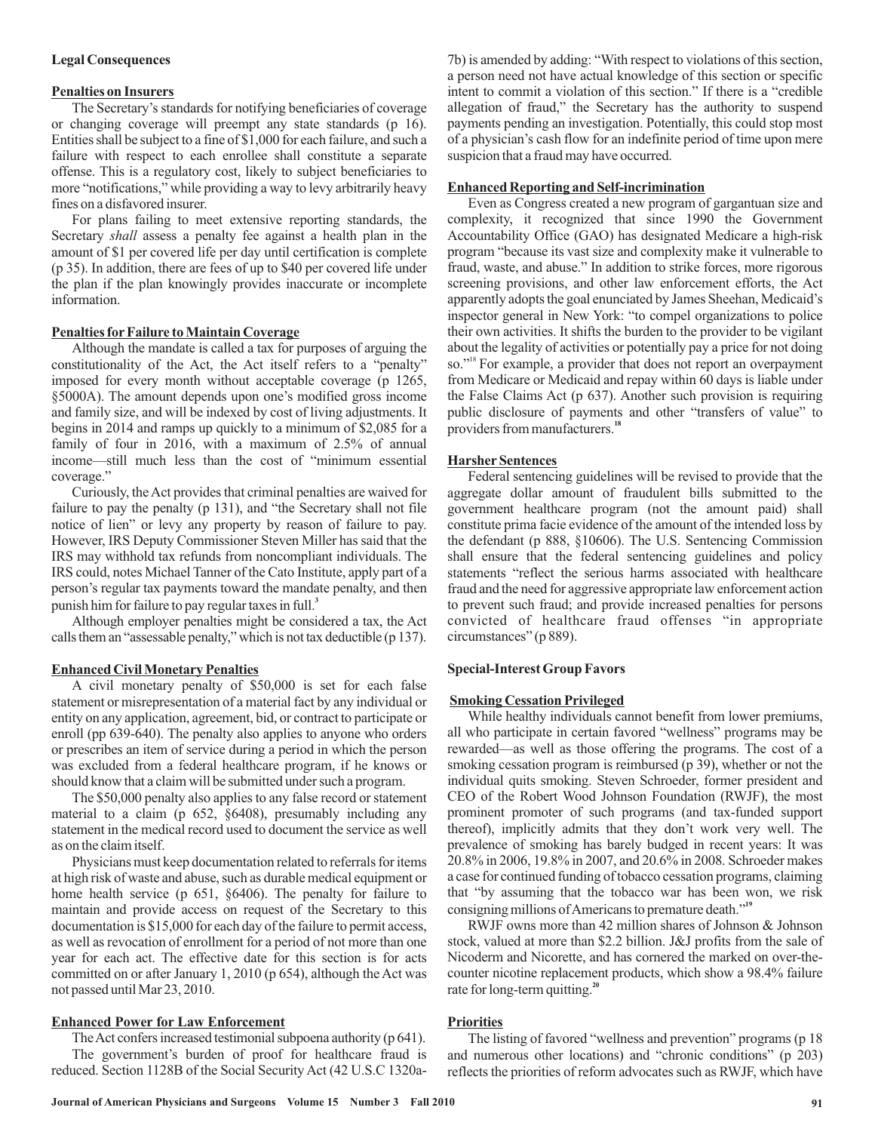## **Legal Consequences**

## **Penalties on Insurers**

The Secretary's standards for notifying beneficiaries of coverage or changing coverage will preempt any state standards (p 16). Entities shall be subject to a fine of \$1,000 for each failure, and such a failure with respect to each enrollee shall constitute a separate offense. This is a regulatory cost, likely to subject beneficiaries to more "notifications," while providing a way to levy arbitrarily heavy fines on a disfavored insurer.

For plans failing to meet extensive reporting standards, the Secretary shall assess a penalty fee against a health plan in the amount of \$1 per covered life per day until certification is complete (p 35). In addition, there are fees of up to \$40 per covered life under the plan if the plan knowingly provides inaccurate or incomplete information.

### **Penalties for Failure to Maintain Coverage**

Although the mandate is called a tax for purposes of arguing the constitutionality of the Act, the Act itself refers to a "penalty" imposed for every month without acceptable coverage (p 1265, §5000A). The amount depends upon one's modified gross income and family size, and will be indexed by cost of living adjustments. It begins in 2014 and ramps up quickly to a minimum of \$2,085 for a family of four in 2016, with a maximum of 2.5% of annual income—still much less than the cost of "minimum essential coverage."

Curiously, the Act provides that criminal penalties are waived for failure to pay the penalty (p 131), and "the Secretary shall not file notice of lien" or levy any property by reason of failure to pay. However, IRS Deputy Commissioner Steven Miller has said that the IRS may withhold tax refunds from noncompliant individuals. The IRS could, notes Michael Tanner of the Cato Institute, apply part of a person's regular tax payments toward the mandate penalty, and then punish him for failure to pay regular taxes in full. **3**

Although employer penalties might be considered a tax, the Act calls them an "assessable penalty," which is not tax deductible (p 137).

## **Enhanced Civil Monetary Penalties**

A civil monetary penalty of \$50,000 is set for each false statement or misrepresentation of a material fact by any individual or entity on any application, agreement, bid, or contract to participate or enroll (pp 639-640). The penalty also applies to anyone who orders or prescribes an item of service during a period in which the person was excluded from a federal healthcare program, if he knows or should know that a claim will be submitted under such a program.

The \$50,000 penalty also applies to any false record or statement material to a claim (p 652, §6408), presumably including any statement in the medical record used to document the service as well as on the claim itself.

Physicians must keep documentation related to referrals for items at high risk of waste and abuse, such as durable medical equipment or home health service (p 651, §6406). The penalty for failure to maintain and provide access on request of the Secretary to this documentation is \$15,000 for each day of the failure to permit access, as well as revocation of enrollment for a period of not more than one year for each act. The effective date for this section is for acts committed on or after January 1, 2010 (p 654), although the Act was not passed until Mar 23, 2010.

## **Enhanced Power for Law Enforcement**

TheAct confers increased testimonial subpoena authority (p 641). The government's burden of proof for healthcare fraud is reduced. Section 1128B of the Social Security Act (42 U.S.C 1320a7b) is amended by adding: "With respect to violations of this section, a person need not have actual knowledge of this section or specific intent to commit a violation of this section." If there is a "credible allegation of fraud," the Secretary has the authority to suspend payments pending an investigation. Potentially, this could stop most of a physician's cash flow for an indefinite period of time upon mere suspicion that a fraud may have occurred.

#### **Enhanced Reporting and Self-incrimination**

Even as Congress created a new program of gargantuan size and complexity, it recognized that since 1990 the Government Accountability Office (GAO) has designated Medicare a high-risk program "because its vast size and complexity make it vulnerable to fraud, waste, and abuse." In addition to strike forces, more rigorous screening provisions, and other law enforcement efforts, the Act apparently adopts the goal enunciated by James Sheehan, Medicaid's inspector general in New York: "to compel organizations to police their own activities. It shifts the burden to the provider to be vigilant about the legality of activities or potentially pay a price for not doing so."<sup>18</sup> For example, a provider that does not report an overpayment from Medicare or Medicaid and repay within 60 days is liable under the False Claims Act (p 637). Another such provision is requiring public disclosure of payments and other "transfers of value" to providers from manufacturers. **18**

### **Harsher Sentences**

Federal sentencing guidelines will be revised to provide that the aggregate dollar amount of fraudulent bills submitted to the government healthcare program (not the amount paid) shall constitute prima facie evidence of the amount of the intended loss by the defendant (p 888, §10606). The U.S. Sentencing Commission shall ensure that the federal sentencing guidelines and policy statements "reflect the serious harms associated with healthcare fraud and the need for aggressive appropriate law enforcement action to prevent such fraud; and provide increased penalties for persons convicted of healthcare fraud offenses "in appropriate circumstances" (p 889).

## **Special-Interest Group Favors**

#### **Smoking Cessation Privileged**

While healthy individuals cannot benefit from lower premiums, all who participate in certain favored "wellness" programs may be rewarded—as well as those offering the programs. The cost of a smoking cessation program is reimbursed (p 39), whether or not the individual quits smoking. Steven Schroeder, former president and CEO of the Robert Wood Johnson Foundation (RWJF), the most prominent promoter of such programs (and tax-funded support thereof), implicitly admits that they don't work very well. The prevalence of smoking has barely budged in recent years: It was 20.8% in 2006, 19.8% in 2007, and 20.6% in 2008. Schroeder makes a case for continued funding of tobacco cessation programs, claiming that "by assuming that the tobacco war has been won, we risk consigning millions ofAmericans to premature death." **19**

RWJF owns more than 42 million shares of Johnson & Johnson stock, valued at more than \$2.2 billion. J&J profits from the sale of Nicoderm and Nicorette, and has cornered the marked on over-thecounter nicotine replacement products, which show a 98.4% failure rate for long-term quitting. **20**

## **Priorities**

The listing of favored "wellness and prevention" programs (p 18 and numerous other locations) and "chronic conditions" (p 203) reflects the priorities of reform advocates such as RWJF, which have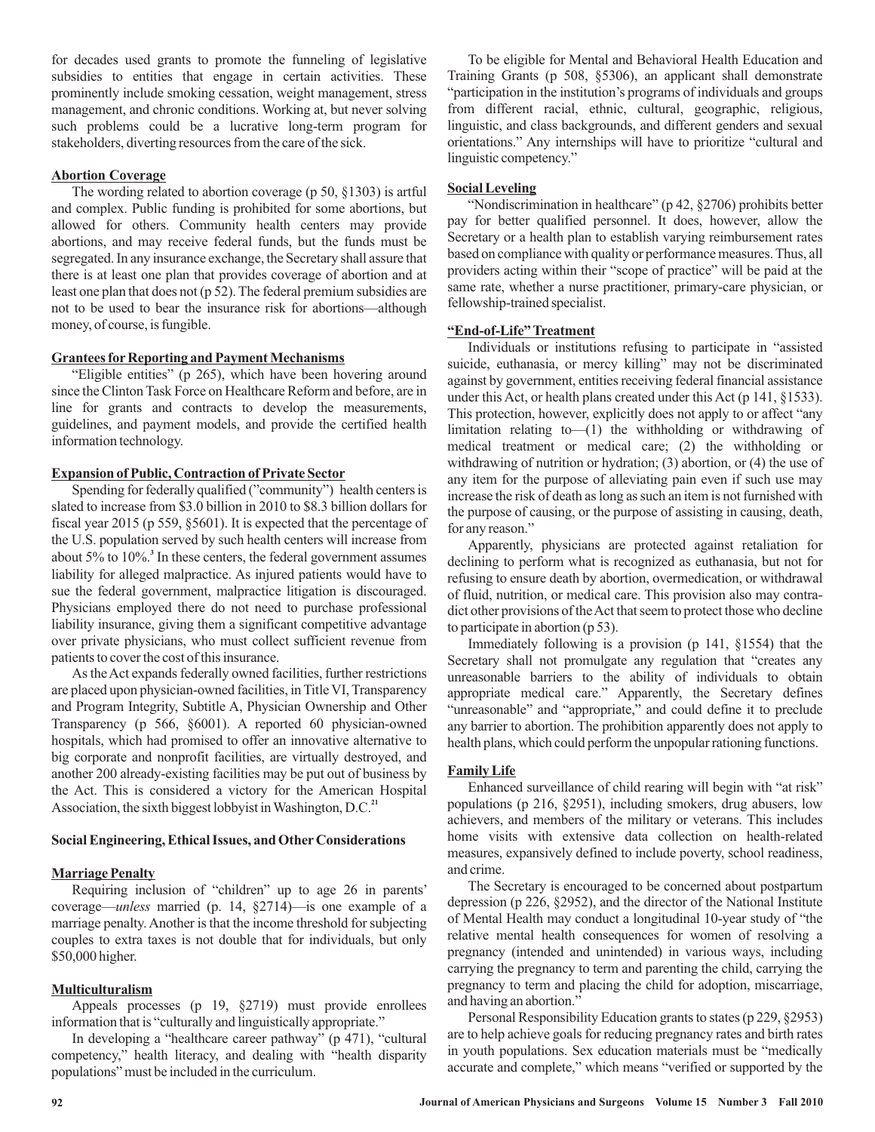for decades used grants to promote the funneling of legislative subsidies to entities that engage in certain activities. These prominently include smoking cessation, weight management, stress management, and chronic conditions. Working at, but never solving such problems could be a lucrative long-term program for stakeholders, diverting resources from the care of the sick.

# **Abortion Coverage**

The wording related to abortion coverage (p 50, §1303) is artful and complex. Public funding is prohibited for some abortions, but allowed for others. Community health centers may provide abortions, and may receive federal funds, but the funds must be segregated. In any insurance exchange, the Secretary shall assure that there is at least one plan that provides coverage of abortion and at least one plan that does not (p 52). The federal premium subsidies are not to be used to bear the insurance risk for abortions—although money, of course, is fungible.

# **Grantees for Reporting and Payment Mechanisms**

"Eligible entities" (p 265), which have been hovering around since the Clinton Task Force on Healthcare Reform and before, are in line for grants and contracts to develop the measurements, guidelines, and payment models, and provide the certified health information technology.

# **Expansion of Public, Contraction of Private Sector**

Spending for federally qualified ("community") health centers is slated to increase from \$3.0 billion in 2010 to \$8.3 billion dollars for fiscal year 2015 (p 559, §5601). It is expected that the percentage of the U.S. population served by such health centers will increase from about 5% to 10%.<sup>3</sup> In these centers, the federal government assumes liability for alleged malpractice. As injured patients would have to sue the federal government, malpractice litigation is discouraged. Physicians employed there do not need to purchase professional liability insurance, giving them a significant competitive advantage over private physicians, who must collect sufficient revenue from patients to cover the cost of this insurance.

As the Act expands federally owned facilities, further restrictions are placed upon physician-owned facilities, in Title VI, Transparency and Program Integrity, Subtitle A, Physician Ownership and Other Transparency (p 566, §6001). A reported 60 physician-owned hospitals, which had promised to offer an innovative alternative to big corporate and nonprofit facilities, are virtually destroyed, and another 200 already-existing facilities may be put out of business by the Act. This is considered a victory for the American Hospital Association, the sixth biggest lobbyist in Washington, D.C.<sup>21</sup>

# **Social Engineering, Ethical Issues, and Other Considerations**

# **Marriage Penalty**

Requiring inclusion of "children" up to age 26 in parents' coverage—unless married (p. 14, §2714)—is one example of a marriage penalty. Another is that the income threshold for subjecting couples to extra taxes is not double that for individuals, but only \$50,000 higher.

# **Multiculturalism**

Appeals processes (p 19, §2719) must provide enrollees information that is "culturally and linguistically appropriate."

In developing a "healthcare career pathway" (p 471), "cultural competency," health literacy, and dealing with "health disparity populations" must be included in the curriculum.

To be eligible for Mental and Behavioral Health Education and Training Grants (p 508, §5306), an applicant shall demonstrate "participation in the institution's programs of individuals and groups from different racial, ethnic, cultural, geographic, religious, linguistic, and class backgrounds, and different genders and sexual orientations." Any internships will have to prioritize "cultural and linguistic competency."

# **Social Leveling**

"Nondiscrimination in healthcare" (p 42, §2706) prohibits better pay for better qualified personnel. It does, however, allow the Secretary or a health plan to establish varying reimbursement rates based on compliance with quality or performance measures. Thus, all providers acting within their "scope of practice" will be paid at the same rate, whether a nurse practitioner, primary-care physician, or fellowship-trained specialist.

# **"End-of-Life" Treatment**

Individuals or institutions refusing to participate in "assisted suicide, euthanasia, or mercy killing" may not be discriminated against by government, entities receiving federal financial assistance under this Act, or health plans created under this Act (p 141, §1533). This protection, however, explicitly does not apply to or affect "any limitation relating to—(1) the withholding or withdrawing of medical treatment or medical care; (2) the withholding or withdrawing of nutrition or hydration; (3) abortion, or (4) the use of any item for the purpose of alleviating pain even if such use may increase the risk of death as long as such an item is not furnished with the purpose of causing, or the purpose of assisting in causing, death, for any reason."

Apparently, physicians are protected against retaliation for declining to perform what is recognized as euthanasia, but not for refusing to ensure death by abortion, overmedication, or withdrawal of fluid, nutrition, or medical care. This provision also may contradict other provisions of the Act that seem to protect those who decline to participate in abortion (p 53).

Immediately following is a provision (p 141, §1554) that the Secretary shall not promulgate any regulation that "creates any unreasonable barriers to the ability of individuals to obtain appropriate medical care." Apparently, the Secretary defines "unreasonable" and "appropriate," and could define it to preclude any barrier to abortion. The prohibition apparently does not apply to health plans, which could perform the unpopular rationing functions.

# **Family Life**

Enhanced surveillance of child rearing will begin with "at risk" populations (p 216, §2951), including smokers, drug abusers, low achievers, and members of the military or veterans. This includes home visits with extensive data collection on health-related measures, expansively defined to include poverty, school readiness, and crime.

The Secretary is encouraged to be concerned about postpartum depression (p 226, §2952), and the director of the National Institute of Mental Health may conduct a longitudinal 10-year study of "the relative mental health consequences for women of resolving a pregnancy (intended and unintended) in various ways, including carrying the pregnancy to term and parenting the child, carrying the pregnancy to term and placing the child for adoption, miscarriage, and having an abortion."

Personal Responsibility Education grants to states (p 229, §2953) are to help achieve goals for reducing pregnancy rates and birth rates in youth populations. Sex education materials must be "medically accurate and complete," which means "verified or supported by the